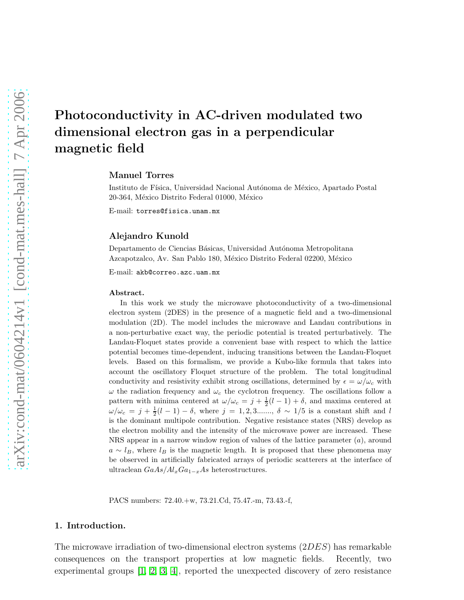Manuel Torres

Instituto de Física, Universidad Nacional Autónoma de México, Apartado Postal 20-364, México Distrito Federal 01000, México

E-mail: torres@fisica.unam.mx

### Alejandro Kunold

Departamento de Ciencias Básicas, Universidad Autónoma Metropolitana Azcapotzalco, Av. San Pablo 180, México Distrito Federal 02200, México

E-mail: akb@correo.azc.uam.mx

#### Abstract.

In this work we study the microwave photoconductivity of a two-dimensional electron system (2DES) in the presence of a magnetic field and a two-dimensional modulation (2D). The model includes the microwave and Landau contributions in a non-perturbative exact way, the periodic potential is treated perturbatively. The Landau-Floquet states provide a convenient base with respect to which the lattice potential becomes time-dependent, inducing transitions between the Landau-Floquet levels. Based on this formalism, we provide a Kubo-like formula that takes into account the oscillatory Floquet structure of the problem. The total longitudinal conductivity and resistivity exhibit strong oscillations, determined by  $\epsilon = \omega/\omega_c$  with  $\omega$  the radiation frequency and  $\omega_c$  the cyclotron frequency. The oscillations follow a pattern with minima centered at  $\omega/\omega_c = j + \frac{1}{2}(l-1) + \delta$ , and maxima centered at  $\omega/\omega_c = j + \frac{1}{2}(l-1) - \delta$ , where  $j = 1, 2, 3...$ ,  $\delta \sim 1/5$  is a constant shift and l is the dominant multipole contribution. Negative resistance states (NRS) develop as the electron mobility and the intensity of the microwave power are increased. These NRS appear in a narrow window region of values of the lattice parameter  $(a)$ , around  $a \sim l_B$ , where  $l_B$  is the magnetic length. It is proposed that these phenomena may be observed in artificially fabricated arrays of periodic scatterers at the interface of ultraclean  $GaAs/Al_xGa_{1-x}As$  heterostructures.

PACS numbers: 72.40.+w, 73.21.Cd, 75.47.-m, 73.43.-f,

#### 1. Introduction.

The microwave irradiation of two-dimensional electron systems (2DES) has remarkable consequences on the transport properties at low magnetic fields. Recently, two experimental groups [\[1,](#page-14-0) [2,](#page-14-1) [3,](#page-14-2) [4\]](#page-14-3), reported the unexpected discovery of zero resistance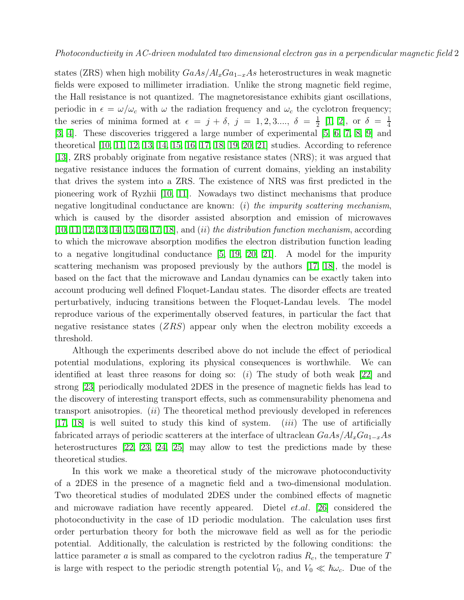states (ZRS) when high mobility  $GaAs/Al_xGa_{1-x}As$  heterostructures in weak magnetic fields were exposed to millimeter irradiation. Unlike the strong magnetic field regime, the Hall resistance is not quantized. The magnetoresistance exhibits giant oscillations, periodic in  $\epsilon = \omega/\omega_c$  with  $\omega$  the radiation frequency and  $\omega_c$  the cyclotron frequency; the series of minima formed at  $\epsilon = j + \delta$ ,  $j = 1, 2, 3, \ldots, \delta = \frac{1}{2}$  $\frac{1}{2}$  [\[1,](#page-14-0) [2\]](#page-14-1), or  $\delta = \frac{1}{4}$ 4 [\[3,](#page-14-2) [4\]](#page-14-3). These discoveries triggered a large number of experimental [\[5,](#page-14-4) [6,](#page-14-5) [7,](#page-14-6) [8,](#page-14-7) [9\]](#page-14-8) and theoretical [\[10,](#page-14-9) [11,](#page-14-10) [12,](#page-14-11) [13,](#page-14-12) [14,](#page-14-13) [15,](#page-14-14) [16,](#page-14-15) [17,](#page-14-16) [18,](#page-14-17) [19,](#page-14-18) [20,](#page-14-19) [21\]](#page-14-20) studies. According to reference [\[13\]](#page-14-12), ZRS probably originate from negative resistance states (NRS); it was argued that negative resistance induces the formation of current domains, yielding an instability that drives the system into a ZRS. The existence of NRS was first predicted in the pioneering work of Ryzhii [\[10,](#page-14-9) [11\]](#page-14-10). Nowadays two distinct mechanisms that produce negative longitudinal conductance are known: (i) the impurity scattering mechanism, which is caused by the disorder assisted absorption and emission of microwaves  $[10, 11, 12, 13, 14, 15, 16, 17, 18]$  $[10, 11, 12, 13, 14, 15, 16, 17, 18]$  $[10, 11, 12, 13, 14, 15, 16, 17, 18]$  $[10, 11, 12, 13, 14, 15, 16, 17, 18]$  $[10, 11, 12, 13, 14, 15, 16, 17, 18]$  $[10, 11, 12, 13, 14, 15, 16, 17, 18]$  $[10, 11, 12, 13, 14, 15, 16, 17, 18]$  $[10, 11, 12, 13, 14, 15, 16, 17, 18]$  $[10, 11, 12, 13, 14, 15, 16, 17, 18]$ , and *(ii) the distribution function mechanism*, according to which the microwave absorption modifies the electron distribution function leading to a negative longitudinal conductance [\[5,](#page-14-4) [19,](#page-14-18) [20,](#page-14-19) [21\]](#page-14-20). A model for the impurity scattering mechanism was proposed previously by the authors [\[17,](#page-14-16) [18\]](#page-14-17), the model is based on the fact that the microwave and Landau dynamics can be exactly taken into account producing well defined Floquet-Landau states. The disorder effects are treated perturbatively, inducing transitions between the Floquet-Landau levels. The model reproduce various of the experimentally observed features, in particular the fact that negative resistance states  $(ZRS)$  appear only when the electron mobility exceeds a threshold.

Although the experiments described above do not include the effect of periodical potential modulations, exploring its physical consequences is worthwhile. We can identified at least three reasons for doing so:  $(i)$  The study of both weak [\[22\]](#page-14-21) and strong [\[23\]](#page-14-22) periodically modulated 2DES in the presence of magnetic fields has lead to the discovery of interesting transport effects, such as commensurability phenomena and transport anisotropies. (ii) The theoretical method previously developed in references [\[17,](#page-14-16) [18\]](#page-14-17) is well suited to study this kind of system. *(iii)* The use of artificially fabricated arrays of periodic scatterers at the interface of ultraclean  $GaAs/Al_xGa_{1-x}As$ heterostructures [\[22,](#page-14-21) [23,](#page-14-22) [24,](#page-14-23) [25\]](#page-14-24) may allow to test the predictions made by these theoretical studies.

In this work we make a theoretical study of the microwave photoconductivity of a 2DES in the presence of a magnetic field and a two-dimensional modulation. Two theoretical studies of modulated 2DES under the combined effects of magnetic and microwave radiation have recently appeared. Dietel et.al. [\[26\]](#page-14-25) considered the photoconductivity in the case of 1D periodic modulation. The calculation uses first order perturbation theory for both the microwave field as well as for the periodic potential. Additionally, the calculation is restricted by the following conditions: the lattice parameter a is small as compared to the cyclotron radius  $R_c$ , the temperature T is large with respect to the periodic strength potential  $V_0$ , and  $V_0 \ll \hbar \omega_c$ . Due of the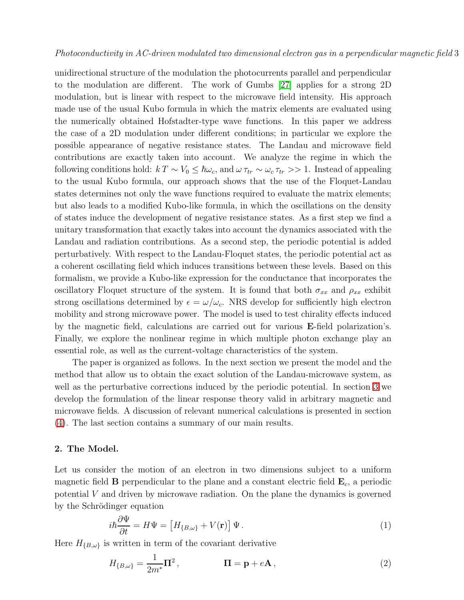unidirectional structure of the modulation the photocurrents parallel and perpendicular to the modulation are different. The work of Gumbs [\[27\]](#page-14-26) applies for a strong 2D modulation, but is linear with respect to the microwave field intensity. His approach made use of the usual Kubo formula in which the matrix elements are evaluated using the numerically obtained Hofstadter-type wave functions. In this paper we address the case of a 2D modulation under different conditions; in particular we explore the possible appearance of negative resistance states. The Landau and microwave field contributions are exactly taken into account. We analyze the regime in which the following conditions hold:  $k T \sim V_0 \leq \hbar \omega_c$ , and  $\omega \tau_{tr} \sim \omega_c \tau_{tr} >> 1$ . Instead of appealing to the usual Kubo formula, our approach shows that the use of the Floquet-Landau states determines not only the wave functions required to evaluate the matrix elements; but also leads to a modified Kubo-like formula, in which the oscillations on the density of states induce the development of negative resistance states. As a first step we find a unitary transformation that exactly takes into account the dynamics associated with the Landau and radiation contributions. As a second step, the periodic potential is added perturbatively. With respect to the Landau-Floquet states, the periodic potential act as a coherent oscillating field which induces transitions between these levels. Based on this formalism, we provide a Kubo-like expression for the conductance that incorporates the oscillatory Floquet structure of the system. It is found that both  $\sigma_{xx}$  and  $\rho_{xx}$  exhibit strong oscillations determined by  $\epsilon = \omega/\omega_c$ . NRS develop for sufficiently high electron mobility and strong microwave power. The model is used to test chirality effects induced by the magnetic field, calculations are carried out for various E-field polarization's. Finally, we explore the nonlinear regime in which multiple photon exchange play an essential role, as well as the current-voltage characteristics of the system.

The paper is organized as follows. In the next section we present the model and the method that allow us to obtain the exact solution of the Landau-microwave system, as well as the perturbative corrections induced by the periodic potential. In section [3](#page-6-0) we develop the formulation of the linear response theory valid in arbitrary magnetic and microwave fields. A discussion of relevant numerical calculations is presented in section [\(4\)](#page-8-0). The last section contains a summary of our main results.

#### 2. The Model.

Let us consider the motion of an electron in two dimensions subject to a uniform magnetic field **B** perpendicular to the plane and a constant electric field  $\mathbf{E}_c$ , a periodic potential V and driven by microwave radiation. On the plane the dynamics is governed by the Schrödinger equation

$$
i\hbar \frac{\partial \Psi}{\partial t} = H\Psi = \left[ H_{\{B,\omega\}} + V(\mathbf{r}) \right] \Psi.
$$
 (1)

<span id="page-2-0"></span>Here  $H_{\{B,\omega\}}$  is written in term of the covariant derivative

$$
H_{\{B,\omega\}} = \frac{1}{2m^*} \mathbf{\Pi}^2, \qquad \qquad \mathbf{\Pi} = \mathbf{p} + e\mathbf{A}, \qquad (2)
$$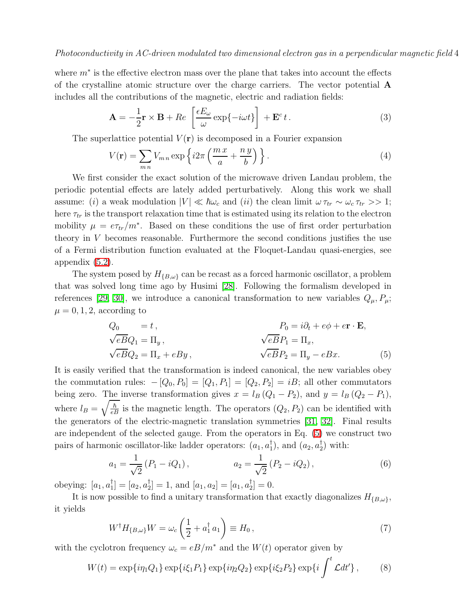<span id="page-3-1"></span>where  $m^*$  is the effective electron mass over the plane that takes into account the effects of the crystalline atomic structure over the charge carriers. The vector potential A includes all the contributions of the magnetic, electric and radiation fields:

$$
\mathbf{A} = -\frac{1}{2}\mathbf{r} \times \mathbf{B} + Re\left[\frac{\epsilon E_{\omega}}{\omega} \exp\{-i\omega t\}\right] + \mathbf{E}^c t.
$$
 (3)

The superlattice potential  $V(\mathbf{r})$  is decomposed in a Fourier expansion

$$
V(\mathbf{r}) = \sum_{mn} V_{mn} \exp\left\{ i2\pi \left( \frac{m \, x}{a} + \frac{n \, y}{b} \right) \right\}.
$$
 (4)

We first consider the exact solution of the microwave driven Landau problem, the periodic potential effects are lately added perturbatively. Along this work we shall assume: (i) a weak modulation  $|V| \ll \hbar \omega_c$  and (ii) the clean limit  $\omega \tau_{tr} \sim \omega_c \tau_{tr} >> 1$ ; here  $\tau_{tr}$  is the transport relaxation time that is estimated using its relation to the electron mobility  $\mu = e\tau_{tr}/m^*$ . Based on these conditions the use of first order perturbation theory in  $V$  becomes reasonable. Furthermore the second conditions justifies the use of a Fermi distribution function evaluated at the Floquet-Landau quasi-energies, see appendix [\(5.2\)](#page-13-0).

The system posed by  $H_{\{B,\omega\}}$  can be recast as a forced harmonic oscillator, a problem that was solved long time ago by Husimi [\[28\]](#page-14-27). Following the formalism developed in references [\[29,](#page-14-28) [30\]](#page-14-29), we introduce a canonical transformation to new variables  $Q_{\mu}, P_{\mu}$ ;  $\mu = 0, 1, 2$ , according to

$$
Q_0 = t,
$$
  
\n
$$
\sqrt{eB}Q_1 = \Pi_y,
$$
  
\n
$$
\sqrt{eB}Q_2 = \Pi_x + eBy,
$$
  
\n
$$
\sqrt{eB}P_1 = \Pi_x,
$$
  
\n
$$
\sqrt{eB}P_2 = \Pi_y - eBx.
$$
  
\n(5)

<span id="page-3-0"></span>It is easily verified that the transformation is indeed canonical, the new variables obey the commutation rules:  $-[Q_0, P_0] = [Q_1, P_1] = [Q_2, P_2] = iB$ ; all other commutators being zero. The inverse transformation gives  $x = l_B (Q_1 - P_2)$ , and  $y = l_B (Q_2 - P_1)$ , where  $l_B = \sqrt{\frac{\hbar}{eB}}$  is the magnetic length. The operators  $(Q_2, P_2)$  can be identified with the generators of the electric-magnetic translation symmetries [\[31,](#page-14-30) [32\]](#page-14-31). Final results are independent of the selected gauge. From the operators in Eq. [\(5\)](#page-3-0) we construct two pairs of harmonic oscillator-like ladder operators:  $(a_1, a_1^{\dagger})$  $\downarrow_1^{\dagger}$ ), and  $(a_2, a_2^{\dagger})$  $_{2}^{\prime}$ ) with:

$$
a_1 = \frac{1}{\sqrt{2}} (P_1 - iQ_1), \qquad a_2 = \frac{1}{\sqrt{2}} (P_2 - iQ_2), \qquad (6)
$$

obeying:  $[a_1, a_1^{\dagger}]$  $_{1}^{\dagger}$ ] = [ $a_{2}, a_{2}^{\dagger}$  $\begin{bmatrix} \n\frac{1}{2} \n\end{bmatrix} = 1$ , and  $[a_1, a_2] = [a_1, a_2]$  $_{2}^{1}$ ] = 0.

<span id="page-3-3"></span>It is now possible to find a unitary transformation that exactly diagonalizes  $H_{\{B,\omega\}}$ , it yields

$$
W^{\dagger}H_{\{B,\omega\}}W=\omega_c\left(\frac{1}{2}+a_1^{\dagger}a_1\right)\equiv H_0,
$$
\n(7)

<span id="page-3-2"></span>with the cyclotron frequency  $\omega_c = eB/m^*$  and the  $W(t)$  operator given by

$$
W(t) = \exp\{i\eta_1 Q_1\} \exp\{i\xi_1 P_1\} \exp\{i\eta_2 Q_2\} \exp\{i\xi_2 P_2\} \exp\{i \int^t \mathcal{L} dt'\}, \quad (8)
$$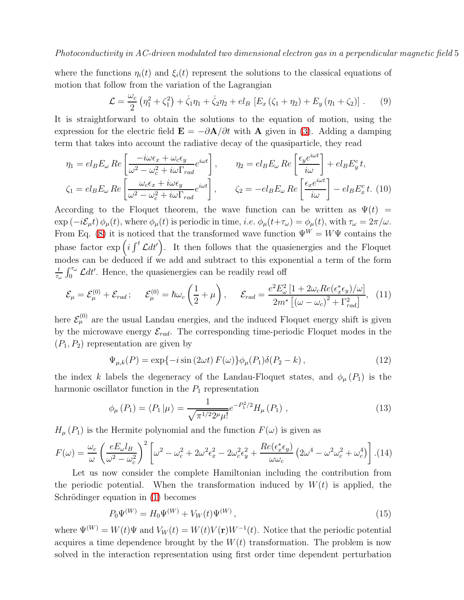<span id="page-4-1"></span>where the functions  $\eta_i(t)$  and  $\xi_i(t)$  represent the solutions to the classical equations of motion that follow from the variation of the Lagrangian

$$
\mathcal{L} = \frac{\omega_c}{2} \left( \eta_1^2 + \zeta_1^2 \right) + \dot{\zeta}_1 \eta_1 + \dot{\zeta}_2 \eta_2 + el_B \left[ E_x \left( \zeta_1 + \eta_2 \right) + E_y \left( \eta_1 + \zeta_2 \right) \right]. \tag{9}
$$

It is straightforward to obtain the solutions to the equation of motion, using the expression for the electric field  $\mathbf{E} = -\partial \mathbf{A}/\partial t$  with  $\mathbf{A}$  given in [\(3\)](#page-3-1). Adding a damping term that takes into account the radiative decay of the quasiparticle, they read

<span id="page-4-0"></span>
$$
\eta_1 = el_B E_{\omega} Re \left[ \frac{-i\omega \epsilon_x + \omega_c \epsilon_y}{\omega^2 - \omega_c^2 + i\omega \Gamma_{rad}} e^{i\omega t} \right], \qquad \eta_2 = el_B E_{\omega} Re \left[ \frac{\epsilon_y e^{i\omega t}}{i\omega} \right] + el_B E_y^c t,
$$
  

$$
\zeta_1 = el_B E_{\omega} Re \left[ \frac{\omega_c \epsilon_x + i\omega \epsilon_y}{\omega^2 - \omega_c^2 + i\omega \Gamma_{rad}} e^{i\omega t} \right], \qquad \zeta_2 = -el_B E_{\omega} Re \left[ \frac{\epsilon_x e^{i\omega t}}{i\omega} \right] - el_B E_x^c t. \tag{10}
$$

According to the Floquet theorem, the wave function can be written as  $\Psi(t)$  =  $\exp(-i\mathcal{E}_{\mu}t)\phi_{\mu}(t)$ , where  $\phi_{\mu}(t)$  is periodic in time, *i.e.*  $\phi_{\mu}(t+\tau_{\omega})=\phi_{\mu}(t)$ , with  $\tau_{\omega}=2\pi/\omega$ . From Eq. [\(8\)](#page-3-2) it is noticed that the transformed wave function  $\Psi^W = W\Psi$  contains the phase factor  $\exp\left(i\int^{t} \mathcal{L}dt'\right)$ . It then follows that the quasienergies and the Floquet modes can be deduced if we add and subtract to this exponential a term of the form t  $\frac{t}{\tau_{\omega}} \int_0^{\tau_{\omega}} \mathcal{L} dt'$ . Hence, the quasienergies can be readily read off

<span id="page-4-2"></span>
$$
\mathcal{E}_{\mu} = \mathcal{E}_{\mu}^{(0)} + \mathcal{E}_{rad}; \quad \mathcal{E}_{\mu}^{(0)} = \hbar \omega_c \left(\frac{1}{2} + \mu\right), \quad \mathcal{E}_{rad} = \frac{e^2 E_{\omega}^2 \left[1 + 2\omega_c Re(\epsilon_x^* \epsilon_y)/\omega\right]}{2m^* \left[(\omega - \omega_c)^2 + \Gamma_{rad}^2\right]}, \tag{11}
$$

here  $\mathcal{E}_{\mu}^{(0)}$  are the usual Landau energies, and the induced Floquet energy shift is given by the microwave energy  $\mathcal{E}_{rad}$ . The corresponding time-periodic Floquet modes in the  $(P_1, P_2)$  representation are given by

$$
\Psi_{\mu,k}(P) = \exp\{-i\sin(2\omega t) F(\omega)\}\phi_{\mu}(P_1)\delta(P_2 - k), \qquad (12)
$$

the index k labels the degeneracy of the Landau-Floquet states, and  $\phi_{\mu}(P_1)$  is the harmonic oscillator function in the  $P_1$  representation

$$
\phi_{\mu}(P_1) = \langle P_1 | \mu \rangle = \frac{1}{\sqrt{\pi^{1/2} 2^{\mu} \mu!}} e^{-P_1^2/2} H_{\mu}(P_1) , \qquad (13)
$$

 $H_{\mu}(P_1)$  is the Hermite polynomial and the function  $F(\omega)$  is given as

$$
F(\omega) = \frac{\omega_c}{\omega} \left( \frac{e E_\omega l_B}{\omega^2 - \omega_c^2} \right)^2 \left[ \omega^2 - \omega_c^2 + 2\omega^2 \epsilon_x^2 - 2\omega_c^2 \epsilon_y^2 + \frac{Re(\epsilon_x^* \epsilon_y)}{\omega \omega_c} \left( 2\omega^4 - \omega^2 \omega_c^2 + \omega_c^4 \right) \right]. (14)
$$

Let us now consider the complete Hamiltonian including the contribution from the periodic potential. When the transformation induced by  $W(t)$  is applied, the Schrödinger equation in  $(1)$  becomes

$$
P_0 \Psi^{(W)} = H_0 \Psi^{(W)} + V_W(t) \Psi^{(W)}, \qquad (15)
$$

where  $\Psi^{(W)} = W(t)\Psi$  and  $V_W(t) = W(t)V(\mathbf{r})W^{-1}(t)$ . Notice that the periodic potential acquires a time dependence brought by the  $W(t)$  transformation. The problem is now solved in the interaction representation using first order time dependent perturbation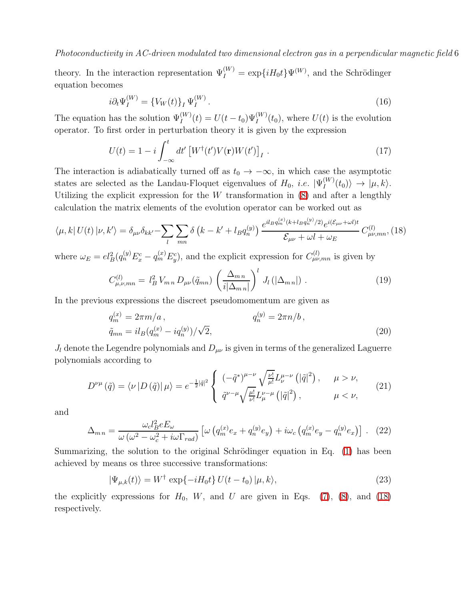theory. In the interaction representation  $\Psi_I^{(W)} = \exp\{iH_0t\}\Psi^{(W)}$ , and the Schrödinger equation becomes

$$
i\partial_t \Psi_I^{(W)} = \{ V_W(t) \}_I \Psi_I^{(W)}.
$$
\n(16)

The equation has the solution  $\Psi_I^{(W)}(t) = U(t-t_0)\Psi_I^{(W)}(t_0)$ , where  $U(t)$  is the evolution operator. To first order in perturbation theory it is given by the expression

$$
U(t) = 1 - i \int_{-\infty}^{t} dt' \left[ W^{\dagger}(t') V(\mathbf{r}) W(t') \right]_{I} . \tag{17}
$$

The interaction is adiabatically turned off as  $t_0 \to -\infty$ , in which case the asymptotic states are selected as the Landau-Floquet eigenvalues of  $H_0$ , *i.e.*  $|\Psi_I^{(W)}|$  $I_I^{(W)}(t_0)\rangle \rightarrow |\mu, k\rangle.$ Utilizing the explicit expression for the  $W$  transformation in  $(8)$  and after a lengthly calculation the matrix elements of the evolution operator can be worked out as

<span id="page-5-0"></span>
$$
\langle \mu, k | U(t) | \nu, k' \rangle = \delta_{\mu\nu} \delta_{kk'} - \sum_{l} \sum_{mn} \delta \left( k - k' + l_B q_n^{(y)} \right) \frac{e^{il_B q_m^{(x)} (k + l_B q_n^{(y)} / 2)} e^{i(\mathcal{E}_{\mu\nu} + \omega l)t}}{\mathcal{E}_{\mu\nu} + \omega l + \omega_E} C_{\mu\nu, mn}^{(l)}, (18)
$$

<span id="page-5-2"></span>where  $\omega_E = el_B^2(q_n^{(y)} E_x^c - q_m^{(x)} E_y^c)$ , and the explicit expression for  $C_{\mu\nu,mn}^{(l)}$  is given by

$$
C_{\mu,\nu,mn}^{(l)} = l_B^2 V_{mn} D_{\mu\nu}(\tilde{q}_{mn}) \left(\frac{\Delta_{mn}}{i|\Delta_{mn}|}\right)^l J_l(|\Delta_{mn}|) . \tag{19}
$$

<span id="page-5-5"></span>In the previous expressions the discreet pseudomomentum are given as

$$
q_m^{(x)} = 2\pi m/a , \t q_m^{(y)} = 2\pi n/b ,
$$
  
\n
$$
\tilde{q}_{mn} = il_B(q_m^{(x)} - iq_n^{(y)}) / \sqrt{2},
$$
\n(20)

<span id="page-5-4"></span> $J_l$  denote the Legendre polynomials and  $D_{\mu\nu}$  is given in terms of the generalized Laguerre polynomials according to

$$
D^{\nu\mu}(\tilde{q}) = \langle \nu | D(\tilde{q}) | \mu \rangle = e^{-\frac{1}{2}|\tilde{q}|^2} \begin{cases} (-\tilde{q}^*)^{\mu-\nu} \sqrt{\frac{\nu!}{\mu!}} L^{\mu-\nu}(\left|\tilde{q}\right|^2), & \mu > \nu, \\ \tilde{q}^{\nu-\mu} \sqrt{\frac{\mu!}{\nu!}} L^{\nu-\mu}(\left|\tilde{q}\right|^2), & \mu < \nu, \end{cases}
$$
(21)

<span id="page-5-3"></span>and

$$
\Delta_{m n} = \frac{\omega_c l_B^2 e E_\omega}{\omega \left(\omega^2 - \omega_c^2 + i\omega \Gamma_{rad}\right)} \left[ \omega \left(q_m^{(x)} e_x + q_n^{(y)} e_y\right) + i\omega_c \left(q_m^{(x)} e_y - q_n^{(y)} e_x\right) \right]. \tag{22}
$$

<span id="page-5-1"></span>Summarizing, the solution to the original Schrödinger equation in Eq. [\(1\)](#page-2-0) has been achieved by means os three successive transformations:

$$
|\Psi_{\mu,k}(t)\rangle = W^{\dagger} \exp\{-iH_0t\} U(t-t_0) |\mu,k\rangle, \qquad (23)
$$

the explicitly expressions for  $H_0$ , W, and U are given in Eqs. [\(7\)](#page-3-3), [\(8\)](#page-3-2), and [\(18\)](#page-5-0) respectively.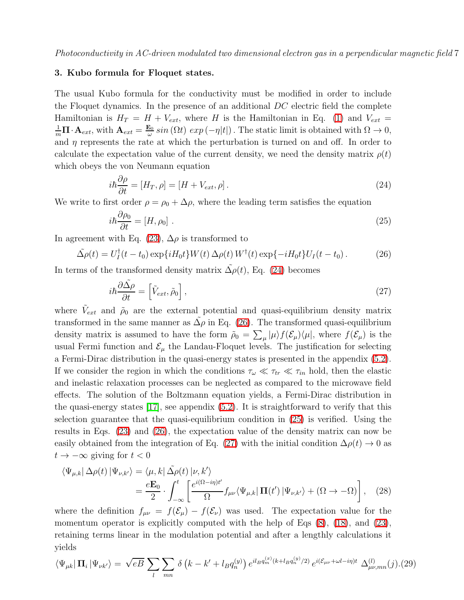## <span id="page-6-0"></span>3. Kubo formula for Floquet states.

The usual Kubo formula for the conductivity must be modified in order to include the Floquet dynamics. In the presence of an additional  $DC$  electric field the complete Hamiltonian is  $H_T = H + V_{ext}$ , where H is the Hamiltonian in Eq. [\(1\)](#page-2-0) and  $V_{ext}$  $\frac{1}{m}\mathbf{\Pi}\cdot\mathbf{A}_{ext}$ , with  $\mathbf{A}_{ext}=\frac{\mathbf{E}_0}{\omega}$  $\frac{\omega_0}{\omega} \sin(\Omega t) \exp(-\eta|t|)$ . The static limit is obtained with  $\Omega \to 0$ , and  $\eta$  represents the rate at which the perturbation is turned on and off. In order to calculate the expectation value of the current density, we need the density matrix  $\rho(t)$ which obeys the von Neumann equation

$$
i\hbar \frac{\partial \rho}{\partial t} = [H_T, \rho] = [H + V_{ext}, \rho]. \tag{24}
$$

<span id="page-6-3"></span><span id="page-6-1"></span>We write to first order  $\rho = \rho_0 + \Delta \rho$ , where the leading term satisfies the equation

$$
i\hbar \frac{\partial \rho_0}{\partial t} = [H, \rho_0] \tag{25}
$$

<span id="page-6-2"></span>In agreement with Eq. [\(23\)](#page-5-1),  $\Delta \rho$  is transformed to

$$
\tilde{\Delta \rho}(t) = U_I^{\dagger}(t - t_0) \exp\{iH_0t\} W(t) \Delta \rho(t) W^{\dagger}(t) \exp\{-iH_0t\} U_I(t - t_0). \tag{26}
$$

<span id="page-6-4"></span>In terms of the transformed density matrix  $\Delta \rho(t)$ , Eq. [\(24\)](#page-6-1) becomes

$$
i\hbar \frac{\partial \tilde{\Delta \rho}}{\partial t} = \left[ \tilde{V}_{ext}, \tilde{\rho}_0 \right],\tag{27}
$$

where  $\tilde{V}_{ext}$  and  $\tilde{\rho}_0$  are the external potential and quasi-equilibrium density matrix transformed in the same manner as  $\Delta \rho$  in Eq. [\(26\)](#page-6-2). The transformed quasi-equilibrium density matrix is assumed to have the form  $\tilde{\rho}_0 = \sum_{\mu} |\mu\rangle f(\mathcal{E}_{\mu})\langle \mu|$ , where  $f(\mathcal{E}_{\mu})$  is the usual Fermi function and  $\mathcal{E}_{\mu}$  the Landau-Floquet levels. The justification for selecting a Fermi-Dirac distribution in the quasi-energy states is presented in the appendix [\(5.2\)](#page-13-0). If we consider the region in which the conditions  $\tau_{\omega} \ll \tau_{tr} \ll \tau_{in}$  hold, then the elastic and inelastic relaxation processes can be neglected as compared to the microwave field effects. The solution of the Boltzmann equation yields, a Fermi-Dirac distribution in the quasi-energy states  $\vert 17 \vert$ , see appendix  $(5.2)$ . It is straightforward to verify that this selection guarantee that the quasi-equilibrium condition in [\(25\)](#page-6-3) is verified. Using the results in Eqs. [\(23\)](#page-5-1) and [\(26\)](#page-6-2), the expectation value of the density matrix can now be easily obtained from the integration of Eq. [\(27\)](#page-6-4) with the initial condition  $\Delta \rho(t) \rightarrow 0$  as  $t \to -\infty$  giving for  $t < 0$ 

<span id="page-6-6"></span>
$$
\langle \Psi_{\mu,k} | \Delta \rho(t) | \Psi_{\nu,k'} \rangle = \langle \mu, k | \tilde{\Delta \rho}(t) | \nu, k' \rangle
$$
  
= 
$$
\frac{e \mathbf{E}_0}{2} \cdot \int_{-\infty}^t \left[ \frac{e^{i(\Omega - i\eta)t'}}{\Omega} f_{\mu\nu} \langle \Psi_{\mu,k} | \mathbf{\Pi}(t') | \Psi_{\nu,k'} \rangle + (\Omega \to -\Omega) \right], \quad (28)
$$

where the definition  $f_{\mu\nu} = f(\mathcal{E}_{\mu}) - f(\mathcal{E}_{\nu})$  was used. The expectation value for the momentum operator is explicitly computed with the help of Eqs  $(8)$ ,  $(18)$ , and  $(23)$ , retaining terms linear in the modulation potential and after a lengthly calculations it yields

<span id="page-6-5"></span>
$$
\langle \Psi_{\mu k} | \mathbf{\Pi}_i | \Psi_{\nu k'} \rangle = \sqrt{eB} \sum_l \sum_{mn} \delta\left(k - k' + l_B q_n^{(y)}\right) e^{il_B q_m^{(x)}(k + l_B q_n^{(y)}/2)} e^{i(\mathcal{E}_{\mu\nu} + \omega l - i\eta)t} \Delta_{\mu\nu,mn}^{(l)}(j) \tag{29}
$$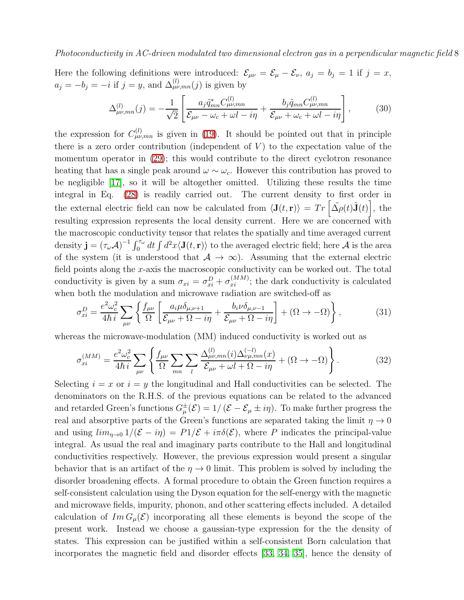Here the following definitions were introduced:  $\mathcal{E}_{\mu\nu} = \mathcal{E}_{\mu} - \mathcal{E}_{\nu}$ ,  $a_j = b_j = 1$  if  $j = x$ ,  $a_j = -b_j = -i$  if  $j = y$ , and  $\Delta_{\mu\nu,mn}^{(l)}(j)$  is given by

$$
\Delta_{\mu\nu,mn}^{(l)}(j) = -\frac{1}{\sqrt{2}} \left[ \frac{a_j \tilde{q}_{mn}^* C_{\mu\nu,mn}^{(l)}}{\mathcal{E}_{\mu\nu} - \omega_c + \omega l - i\eta} + \frac{b_j \tilde{q}_{mn} C_{\mu\nu,mn}^{(l)}}{\mathcal{E}_{\mu\nu} + \omega_c + \omega l - i\eta} \right],\tag{30}
$$

the expression for  $C^{(l)}_{\mu\nu,mn}$  is given in [\(19\)](#page-5-2). It should be pointed out that in principle there is a zero order contribution (independent of  $V$ ) to the expectation value of the momentum operator in [\(29\)](#page-6-5); this would contribute to the direct cyclotron resonance heating that has a single peak around  $\omega \sim \omega_c$ . However this contribution has proved to be negligible [\[17\]](#page-14-16), so it will be altogether omitted. Utilizing these results the time integral in Eq. [\(28\)](#page-6-6) is readily carried out. The current density to first order in the external electric field can now be calculated from  $\langle \mathbf{J}(t, \mathbf{r}) \rangle = Tr \left[ \tilde{\Delta \rho}(t) \tilde{\mathbf{J}}(t) \right]$ , the resulting expression represents the local density current. Here we are concerned with the macroscopic conductivity tensor that relates the spatially and time averaged current density  $\mathbf{j} = (\tau_{\omega} A)^{-1} \int_0^{\tau_{\omega}} dt \int d^2x \langle \mathbf{J}(t, \mathbf{r}) \rangle$  to the averaged electric field; here A is the area of the system (it is understood that  $A \rightarrow \infty$ ). Assuming that the external electric field points along the  $x$ -axis the macroscopic conductivity can be worked out. The total conductivity is given by a sum  $\sigma_{xi} = \sigma_{xi}^D + \sigma_{xi}^{(MM)}$ ; the dark conductivity is calculated when both the modulation and microwave radiation are switched-off as

<span id="page-7-0"></span>
$$
\sigma_{xi}^{D} = \frac{e^2 \omega_c^2}{4\hbar i} \sum_{\mu\nu} \left\{ \frac{f_{\mu\nu}}{\Omega} \left[ \frac{a_i \mu \delta_{\mu,\nu+1}}{\mathcal{E}_{\mu\nu} + \Omega - i\eta} + \frac{b_i \nu \delta_{\mu,\nu-1}}{\mathcal{E}_{\mu\nu} + \Omega - i\eta} \right] + (\Omega \to -\Omega) \right\},\tag{31}
$$

<span id="page-7-1"></span>whereas the microwave-modulation (MM) induced conductivity is worked out as

$$
\sigma_{xi}^{(MM)} = \frac{e^2 \omega_c^2}{4\hbar i} \sum_{\mu\nu} \left\{ \frac{f_{\mu\nu}}{\Omega} \sum_{mn} \sum_l \frac{\Delta_{\mu\nu,mn}^{(l)}(i) \Delta_{\nu\mu,mn}^{(-l)}(x)}{\mathcal{E}_{\mu\nu} + \omega l + \Omega - i\eta} + (\Omega \to -\Omega) \right\}.
$$
 (32)

Selecting  $i = x$  or  $i = y$  the longitudinal and Hall conductivities can be selected. The denominators on the R.H.S. of the previous equations can be related to the advanced and retarded Green's functions  $G^{\pm}_{\mu}(\mathcal{E}) = 1/(\mathcal{E} - \mathcal{E}_{\mu} \pm i\eta)$ . To make further progress the real and absorptive parts of the Green's functions are separated taking the limit  $\eta \to 0$ and using  $\lim_{n\to 0} 1/(\mathcal{E} - i\eta) = P1/\mathcal{E} + i\pi\delta(\mathcal{E})$ , where P indicates the principal-value integral. As usual the real and imaginary parts contribute to the Hall and longitudinal conductivities respectively. However, the previous expression would present a singular behavior that is an artifact of the  $\eta \rightarrow 0$  limit. This problem is solved by including the disorder broadening effects. A formal procedure to obtain the Green function requires a self-consistent calculation using the Dyson equation for the self-energy with the magnetic and microwave fields, impurity, phonon, and other scattering effects included. A detailed calculation of  $Im G_u(\mathcal{E})$  incorporating all these elements is beyond the scope of the present work. Instead we choose a gaussian-type expression for the the density of states. This expression can be justified within a self-consistent Born calculation that incorporates the magnetic field and disorder effects [\[33,](#page-14-32) [34,](#page-14-33) [35\]](#page-14-34), hence the density of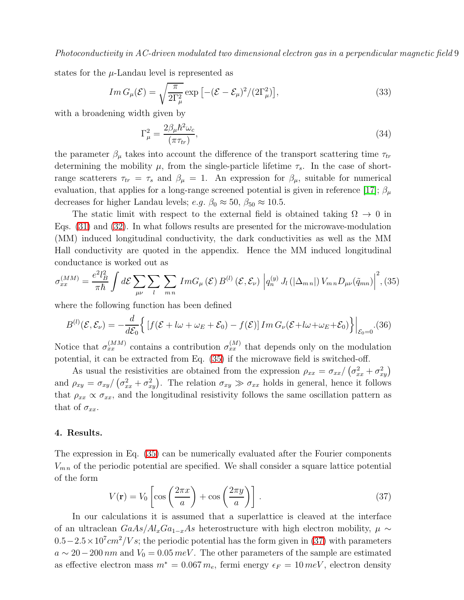<span id="page-8-3"></span>states for the  $\mu$ -Landau level is represented as

$$
Im G_{\mu}(\mathcal{E}) = \sqrt{\frac{\pi}{2\Gamma_{\mu}^2}} \exp\left[-(\mathcal{E} - \mathcal{E}_{\mu})^2/(2\Gamma_{\mu}^2)\right],\tag{33}
$$

with a broadening width given by

$$
\Gamma_{\mu}^{2} = \frac{2\beta_{\mu}\hbar^{2}\omega_{c}}{(\pi\tau_{tr})},\tag{34}
$$

the parameter  $\beta_{\mu}$  takes into account the difference of the transport scattering time  $\tau_{tr}$ determining the mobility  $\mu$ , from the single-particle lifetime  $\tau_s$ . In the case of shortrange scatterers  $\tau_{tr} = \tau_s$  and  $\beta_{\mu} = 1$ . An expression for  $\beta_{\mu}$ , suitable for numerical evaluation, that applies for a long-range screened potential is given in reference [\[17\]](#page-14-16);  $\beta_{\mu}$ decreases for higher Landau levels;  $e.g. \beta_0 \approx 50, \beta_{50} \approx 10.5$ .

The static limit with respect to the external field is obtained taking  $\Omega \to 0$  in Eqs. [\(31\)](#page-7-0) and [\(32\)](#page-7-1). In what follows results are presented for the microwave-modulation (MM) induced longitudinal conductivity, the dark conductivities as well as the MM Hall conductivity are quoted in the appendix. Hence the MM induced longitudinal conductance is worked out as

<span id="page-8-1"></span>
$$
\sigma_{xx}^{(MM)} = \frac{e^2 l_B^2}{\pi \hbar} \int d\mathcal{E} \sum_{\mu\nu} \sum_{l} \sum_{mn} Im G_{\mu}(\mathcal{E}) B^{(l)}(\mathcal{E}, \mathcal{E}_{\nu}) \left| q_n^{(y)} J_l\left(|\Delta_{mn}|\right) V_{mn} D_{\mu\nu}(\tilde{q}_{mn}) \right|^2, (35)
$$

<span id="page-8-4"></span>where the following function has been defined

$$
B^{(l)}(\mathcal{E}, \mathcal{E}_{\nu}) = -\frac{d}{d\mathcal{E}_{0}} \Big\{ \left[ f(\mathcal{E} + l\omega + \omega_{E} + \mathcal{E}_{0}) - f(\mathcal{E}) \right] Im \, G_{\nu}(\mathcal{E} + l\omega + \omega_{E} + \mathcal{E}_{0}) \Big\} \Big|_{\mathcal{E}_{0} = 0} . (36)
$$

Notice that  $\sigma_{xx}^{(MM)}$  contains a contribution  $\sigma_{xx}^{(M)}$  that depends only on the modulation potential, it can be extracted from Eq. [\(35\)](#page-8-1) if the microwave field is switched-off.

As usual the resistivities are obtained from the expression  $\rho_{xx} = \sigma_{xx}/(\sigma_{xx}^2 + \sigma_{xy}^2)$ and  $\rho_{xy} = \sigma_{xy}/(\sigma_{xx}^2 + \sigma_{xy}^2)$ . The relation  $\sigma_{xy} \gg \sigma_{xx}$  holds in general, hence it follows that  $\rho_{xx} \propto \sigma_{xx}$ , and the longitudinal resistivity follows the same oscillation pattern as that of  $\sigma_{xx}$ .

#### <span id="page-8-0"></span>4. Results.

<span id="page-8-2"></span>The expression in Eq. [\(35\)](#page-8-1) can be numerically evaluated after the Fourier components  $V_{mn}$  of the periodic potential are specified. We shall consider a square lattice potential of the form

$$
V(\mathbf{r}) = V_0 \left[ \cos \left( \frac{2\pi x}{a} \right) + \cos \left( \frac{2\pi y}{a} \right) \right]. \tag{37}
$$

In our calculations it is assumed that a superlattice is cleaved at the interface of an ultraclean  $GaAs/Al_xGa_{1-x}As$  heterostructure with high electron mobility,  $\mu \sim$  $0.5-2.5\times10^{7} cm^{2}/Vs$ ; the periodic potential has the form given in [\(37\)](#page-8-2) with parameters  $a \sim 20-200 \, nm$  and  $V_0 = 0.05 \, meV$ . The other parameters of the sample are estimated as effective electron mass  $m^* = 0.067 m_e$ , fermi energy  $\epsilon_F = 10 \, meV$ , electron density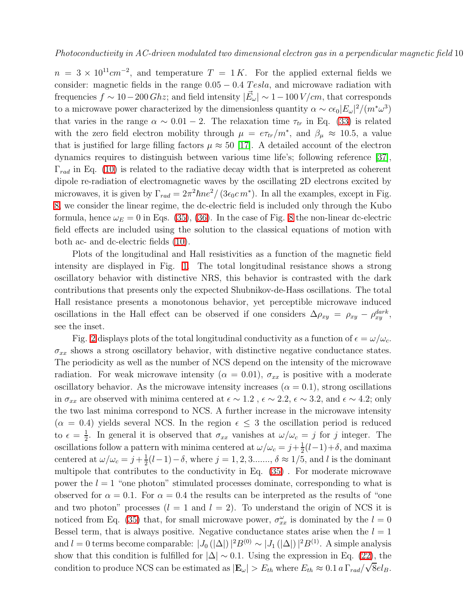$n = 3 \times 10^{11} \text{cm}^{-2}$ , and temperature  $T = 1 \text{K}$ . For the applied external fields we consider: magnetic fields in the range  $0.05 - 0.4$  Tesla, and microwave radiation with frequencies  $f \sim 10 - 200 \, Ghz$ ; and field intensity  $|\vec{E}_{\omega}| \sim 1 - 100 \, V/cm$ , that corresponds to a microwave power characterized by the dimensionless quantity  $\alpha \sim c\epsilon_0 |E_\omega|^2/(m^*\omega^3)$ that varies in the range  $\alpha \sim 0.01 - 2$ . The relaxation time  $\tau_{tr}$  in Eq. [\(33\)](#page-8-3) is related with the zero field electron mobility through  $\mu = e\tau_{tr}/m^*$ , and  $\beta_{\mu} \approx 10.5$ , a value that is justified for large filling factors  $\mu \approx 50$  [\[17\]](#page-14-16). A detailed account of the electron dynamics requires to distinguish between various time life's; following reference [\[37\]](#page-14-35),  $\Gamma_{rad}$  in Eq. [\(10\)](#page-4-0) is related to the radiative decay width that is interpreted as coherent dipole re-radiation of electromagnetic waves by the oscillating 2D electrons excited by microwaves, it is given by  $\Gamma_{rad} = 2\pi^2 \hbar n e^2 / (3\epsilon_0 c m^*)$ . In all the examples, except in Fig. [8,](#page-19-0) we consider the linear regime, the dc-electric field is included only through the Kubo formula, hence  $\omega_E = 0$  in Eqs. [\(35\)](#page-8-1), [\(36\)](#page-8-4). In the case of Fig. [8](#page-19-0) the non-linear dc-electric field effects are included using the solution to the classical equations of motion with both ac- and dc-electric fields [\(10\)](#page-4-0).

Plots of the longitudinal and Hall resistivities as a function of the magnetic field intensity are displayed in Fig. [1.](#page-15-0) The total longitudinal resistance shows a strong oscillatory behavior with distinctive NRS, this behavior is contrasted with the dark contributions that presents only the expected Shubnikov-de-Hass oscillations. The total Hall resistance presents a monotonous behavior, yet perceptible microwave induced oscillations in the Hall effect can be observed if one considers  $\Delta \rho_{xy} = \rho_{xy} - \rho_{xy}^{dark}$ , see the inset.

Fig. [2](#page-16-0) displays plots of the total longitudinal conductivity as a function of  $\epsilon = \omega/\omega_c$ .  $\sigma_{xx}$  shows a strong oscillatory behavior, with distinctive negative conductance states. The periodicity as well as the number of NCS depend on the intensity of the microwave radiation. For weak microwave intensity ( $\alpha = 0.01$ ),  $\sigma_{xx}$  is positive with a moderate oscillatory behavior. As the microwave intensity increases  $(\alpha = 0.1)$ , strong oscillations in  $\sigma_{xx}$  are observed with minima centered at  $\epsilon \sim 1.2$ ,  $\epsilon \sim 2.2$ ,  $\epsilon \sim 3.2$ , and  $\epsilon \sim 4.2$ ; only the two last minima correspond to NCS. A further increase in the microwave intensity  $(\alpha = 0.4)$  yields several NCS. In the region  $\epsilon \leq 3$  the oscillation period is reduced to  $\epsilon = \frac{1}{2}$  $\frac{1}{2}$ . In general it is observed that  $\sigma_{xx}$  vanishes at  $\omega/\omega_c = j$  for j integer. The oscillations follow a pattern with minima centered at  $\omega/\omega_c = j + \frac{1}{2}$  $\frac{1}{2}(l-1)+\delta$ , and maxima centered at  $\omega/\omega_c = j + \frac{1}{2}$  $\frac{1}{2}(l-1)-\delta$ , where  $j=1,2,3...$ ,  $\delta \approx 1/5$ , and l is the dominant multipole that contributes to the conductivity in Eq. [\(35\)](#page-8-1) . For moderate microwave power the  $l = 1$  "one photon" stimulated processes dominate, corresponding to what is observed for  $\alpha = 0.1$ . For  $\alpha = 0.4$  the results can be interpreted as the results of "one and two photon" processes  $(l = 1 \text{ and } l = 2)$ . To understand the origin of NCS it is noticed from Eq. [\(35\)](#page-8-1) that, for small microwave power,  $\sigma_{xx}^{\omega}$  is dominated by the  $l = 0$ Bessel term, that is always positive. Negative conductance states arise when the  $l = 1$ and  $l = 0$  terms become comparable:  $|J_0(|\Delta|)|^2 B^{(0)} \sim |J_1(|\Delta|)|^2 B^{(1)}$ . A simple analysis show that this condition is fulfilled for  $|\Delta| \sim 0.1$ . Using the expression in Eq. [\(22\)](#page-5-3), the condition to produce NCS can be estimated as  $|\mathbf{E}_{\omega}| > E_{th}$  where  $E_{th} \approx 0.1 a \Gamma_{rad}/\sqrt{8}el_B$ .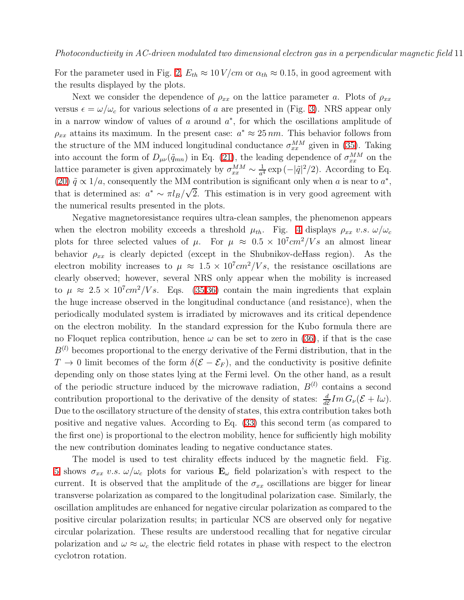For the parameter used in Fig. [2,](#page-16-0)  $E_{th} \approx 10 V/cm$  or  $\alpha_{th} \approx 0.15$ , in good agreement with the results displayed by the plots.

Next we consider the dependence of  $\rho_{xx}$  on the lattice parameter a. Plots of  $\rho_{xx}$ versus  $\epsilon = \omega/\omega_c$  for various selections of a are presented in (Fig. [3\)](#page-16-1). NRS appear only in a narrow window of values of  $a$  around  $a^*$ , for which the oscillations amplitude of  $\rho_{xx}$  attains its maximum. In the present case:  $a^* \approx 25 \, nm$ . This behavior follows from the structure of the MM induced longitudinal conductance  $\sigma_{xx}^{MM}$  given in [\(35\)](#page-8-1). Taking into account the form of  $D_{\mu\nu}(\tilde{q}_{mn})$  in Eq. [\(21\)](#page-5-4), the leading dependence of  $\sigma_{xx}^{MM}$  on the lattice parameter is given approximately by  $\sigma_{xx}^{MM} \sim \frac{1}{a^4} \exp(-|\tilde{q}|^2/2)$ . According to Eq. [\(20\)](#page-5-5)  $\tilde{q} \propto 1/a$ , consequently the MM contribution is significant only when a is near to  $a^*$ , that is determined as:  $a^* \sim \pi l_B/\sqrt{2}$ . This estimation is in very good agreement with the numerical results presented in the plots.

Negative magnetoresistance requires ultra-clean samples, the phenomenon appears when the electron mobility exceeds a threshold  $\mu_{th}$ . Fig. [4](#page-17-0) displays  $\rho_{xx}$  v.s.  $\omega/\omega_c$ plots for three selected values of  $\mu$ . For  $\mu \approx 0.5 \times 10^7 cm^2/Vs$  an almost linear behavior  $\rho_{xx}$  is clearly depicted (except in the Shubnikov-deHass region). As the electron mobility increases to  $\mu \approx 1.5 \times 10^7 cm^2/Vs$ , the resistance oscillations are clearly observed; however, several NRS only appear when the mobility is increased to  $\mu \approx 2.5 \times 10^7 cm^2/V s$ . Eqs. [\(35,](#page-8-1)[36\)](#page-8-4) contain the main ingredients that explain the huge increase observed in the longitudinal conductance (and resistance), when the periodically modulated system is irradiated by microwaves and its critical dependence on the electron mobility. In the standard expression for the Kubo formula there are no Floquet replica contribution, hence  $\omega$  can be set to zero in [\(36\)](#page-8-4), if that is the case  $B^{(l)}$  becomes proportional to the energy derivative of the Fermi distribution, that in the  $T \to 0$  limit becomes of the form  $\delta(\mathcal{E} - \mathcal{E}_F)$ , and the conductivity is positive definite depending only on those states lying at the Fermi level. On the other hand, as a result of the periodic structure induced by the microwave radiation,  $B^{(l)}$  contains a second contribution proportional to the derivative of the density of states:  $\frac{d}{d\mathcal{E}}Im G_{\nu}(\mathcal{E}+l\omega)$ . Due to the oscillatory structure of the density of states, this extra contribution takes both positive and negative values. According to Eq. [\(33\)](#page-8-3) this second term (as compared to the first one) is proportional to the electron mobility, hence for sufficiently high mobility the new contribution dominates leading to negative conductance states.

The model is used to test chirality effects induced by the magnetic field. Fig. [5](#page-17-1) shows  $\sigma_{xx}$  v.s.  $\omega/\omega_c$  plots for various  $\mathbf{E}_{\omega}$  field polarization's with respect to the current. It is observed that the amplitude of the  $\sigma_{xx}$  oscillations are bigger for linear transverse polarization as compared to the longitudinal polarization case. Similarly, the oscillation amplitudes are enhanced for negative circular polarization as compared to the positive circular polarization results; in particular NCS are observed only for negative circular polarization. These results are understood recalling that for negative circular polarization and  $\omega \approx \omega_c$  the electric field rotates in phase with respect to the electron cyclotron rotation.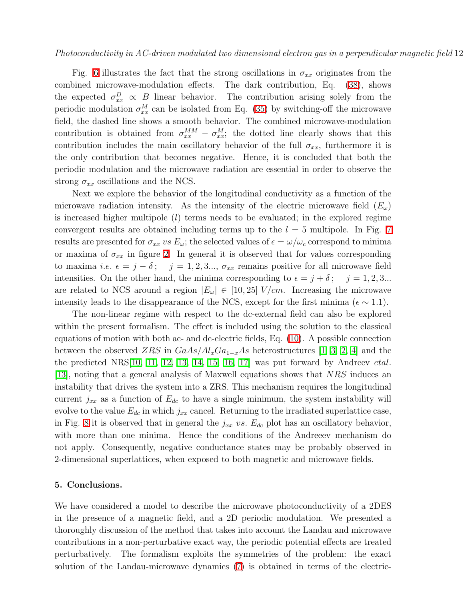Fig. [6](#page-18-0) illustrates the fact that the strong oscillations in  $\sigma_{xx}$  originates from the combined microwave-modulation effects. The dark contribution, Eq. [\(38\)](#page-12-0), shows the expected  $\sigma_{xx}^D \propto B$  linear behavior. The contribution arising solely from the periodic modulation  $\sigma_{xx}^M$  can be isolated from Eq. [\(35\)](#page-8-1) by switching-off the microwave field, the dashed line shows a smooth behavior. The combined microwave-modulation contribution is obtained from  $\sigma_{xx}^{MM} - \sigma_{xx}^{M}$ ; the dotted line clearly shows that this contribution includes the main oscillatory behavior of the full  $\sigma_{xx}$ , furthermore it is the only contribution that becomes negative. Hence, it is concluded that both the periodic modulation and the microwave radiation are essential in order to observe the strong  $\sigma_{xx}$  oscillations and the NCS.

Next we explore the behavior of the longitudinal conductivity as a function of the microwave radiation intensity. As the intensity of the electric microwave field  $(E_{\omega})$ is increased higher multipole  $(l)$  terms needs to be evaluated; in the explored regime convergent results are obtained including terms up to the  $l = 5$  multipole. In Fig. [7](#page-18-1) results are presented for  $\sigma_{xx}$  vs  $E_{\omega}$ ; the selected values of  $\epsilon = \omega/\omega_c$  correspond to minima or maxima of  $\sigma_{xx}$  in figure [2.](#page-16-0) In general it is observed that for values corresponding to maxima *i.e.*  $\epsilon = j - \delta$ ;  $j = 1, 2, 3...$ ,  $\sigma_{xx}$  remains positive for all microwave field intensities. On the other hand, the minima corresponding to  $\epsilon = j + \delta$ ;  $j = 1, 2, 3...$ are related to NCS around a region  $|E_{\omega}| \in [10, 25]$  V/cm. Increasing the microwave intensity leads to the disappearance of the NCS, except for the first minima ( $\epsilon \sim 1.1$ ).

The non-linear regime with respect to the dc-external field can also be explored within the present formalism. The effect is included using the solution to the classical equations of motion with both ac- and dc-electric fields, Eq. [\(10\)](#page-4-0). A possible connection between the observed ZRS in  $GaAs/Al_xGa_{1-x}As$  heterostructures [\[1,](#page-14-0) [3,](#page-14-2) [2,](#page-14-1) [4\]](#page-14-3) and the the predicted NRS[\[10,](#page-14-9) [11,](#page-14-10) [12,](#page-14-11) [13,](#page-14-12) [14,](#page-14-13) [15,](#page-14-14) [16,](#page-14-15) [17\]](#page-14-16) was put forward by Andreev etal. [\[13\]](#page-14-12), noting that a general analysis of Maxwell equations shows that NRS induces an instability that drives the system into a ZRS. This mechanism requires the longitudinal current  $j_{xx}$  as a function of  $E_{dc}$  to have a single minimum, the system instability will evolve to the value  $E_{dc}$  in which  $j_{xx}$  cancel. Returning to the irradiated superlattice case, in Fig. [8](#page-19-0) it is observed that in general the  $j_{xx}$  vs.  $E_{dc}$  plot has an oscillatory behavior, with more than one minima. Hence the conditions of the Andreeev mechanism do not apply. Consequently, negative conductance states may be probably observed in 2-dimensional superlattices, when exposed to both magnetic and microwave fields.

#### 5. Conclusions.

We have considered a model to describe the microwave photoconductivity of a 2DES in the presence of a magnetic field, and a 2D periodic modulation. We presented a thoroughly discussion of the method that takes into account the Landau and microwave contributions in a non-perturbative exact way, the periodic potential effects are treated perturbatively. The formalism exploits the symmetries of the problem: the exact solution of the Landau-microwave dynamics [\(7\)](#page-3-3) is obtained in terms of the electric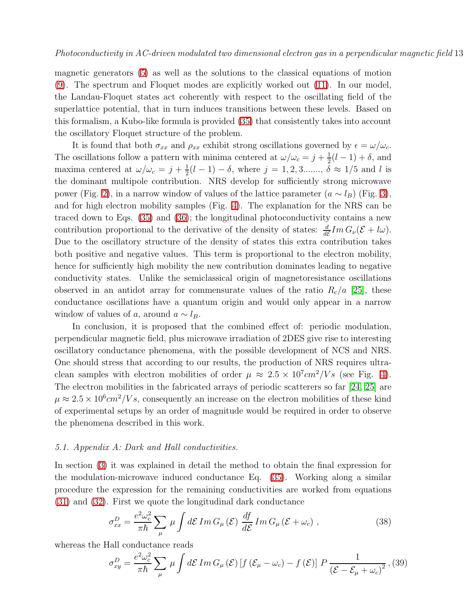magnetic generators [\(5\)](#page-3-0) as well as the solutions to the classical equations of motion [\(9\)](#page-4-1). The spectrum and Floquet modes are explicitly worked out [\(11\)](#page-4-2). In our model, the Landau-Floquet states act coherently with respect to the oscillating field of the superlattice potential, that in turn induces transitions between these levels. Based on this formalism, a Kubo-like formula is provided [\(35\)](#page-8-1) that consistently takes into account the oscillatory Floquet structure of the problem.

It is found that both  $\sigma_{xx}$  and  $\rho_{xx}$  exhibit strong oscillations governed by  $\epsilon = \omega/\omega_c$ . The oscillations follow a pattern with minima centered at  $\omega/\omega_c = j + \frac{1}{2}$  $\frac{1}{2}(l-1)+\delta$ , and maxima centered at  $\omega/\omega_c = j + \frac{1}{2}$  $\frac{1}{2}(l-1) - \delta$ , where  $j = 1, 2, 3...$ ,  $\delta \approx 1/5$  and l is the dominant multipole contribution. NRS develop for sufficiently strong microwave power (Fig. [2\)](#page-16-0), in a narrow window of values of the lattice parameter  $(a \sim l_B)$  (Fig. [3\)](#page-16-1), and for high electron mobility samples (Fig. [4\)](#page-17-0). The explanation for the NRS can be traced down to Eqs. [\(35\)](#page-8-1) and [\(36\)](#page-8-4); the longitudinal photoconductivity contains a new contribution proportional to the derivative of the density of states:  $\frac{d}{d\mathcal{E}}Im G_{\nu}(\mathcal{E}+l\omega)$ . Due to the oscillatory structure of the density of states this extra contribution takes both positive and negative values. This term is proportional to the electron mobility, hence for sufficiently high mobility the new contribution dominates leading to negative conductivity states. Unlike the semiclassical origin of magnetoresistance oscillations observed in an antidot array for commensurate values of the ratio  $R_c/a$  [\[25\]](#page-14-24), these conductance oscillations have a quantum origin and would only appear in a narrow window of values of a, around  $a \sim l_B$ .

In conclusion, it is proposed that the combined effect of: periodic modulation, perpendicular magnetic field, plus microwave irradiation of 2DES give rise to interesting oscillatory conductance phenomena, with the possible development of NCS and NRS. One should stress that according to our results, the production of NRS requires ultraclean samples with electron mobilities of order  $\mu \approx 2.5 \times 10^7 cm^2/Vs$  (see Fig. [4\)](#page-17-0). The electron mobilities in the fabricated arrays of periodic scatterers so far [\[24,](#page-14-23) [25\]](#page-14-24) are  $\mu \approx 2.5 \times 10^6 cm^2/Vs$ , consequently an increase on the electron mobilities of these kind of experimental setups by an order of magnitude would be required in order to observe the phenomena described in this work.

### 5.1. Appendix A: Dark and Hall conductivities.

In section [\(3\)](#page-6-0) it was explained in detail the method to obtain the final expression for the modulation-microwave induced conductance Eq. [\(35\)](#page-8-1). Working along a similar procedure the expression for the remaining conductivities are worked from equations [\(31\)](#page-7-0) and [\(32\)](#page-7-1). First we quote the longitudinal dark conductance

$$
\sigma_{xx}^D = \frac{e^2 \omega_c^2}{\pi \hbar} \sum_{\mu} \mu \int d\mathcal{E} \, Im \, G_{\mu}(\mathcal{E}) \, \frac{df}{d\mathcal{E}} Im \, G_{\mu}(\mathcal{E} + \omega_c) \;, \tag{38}
$$

<span id="page-12-0"></span>whereas the Hall conductance reads

$$
\sigma_{xy}^D = \frac{e^2 \omega_c^2}{\pi \hbar} \sum_{\mu} \mu \int d\mathcal{E} \, Im \, G_{\mu}(\mathcal{E}) \left[ f \left( \mathcal{E}_{\mu} - \omega_c \right) - f \left( \mathcal{E} \right) \right] \, P \, \frac{1}{\left( \mathcal{E} - \mathcal{E}_{\mu} + \omega_c \right)^2}, \, (39)
$$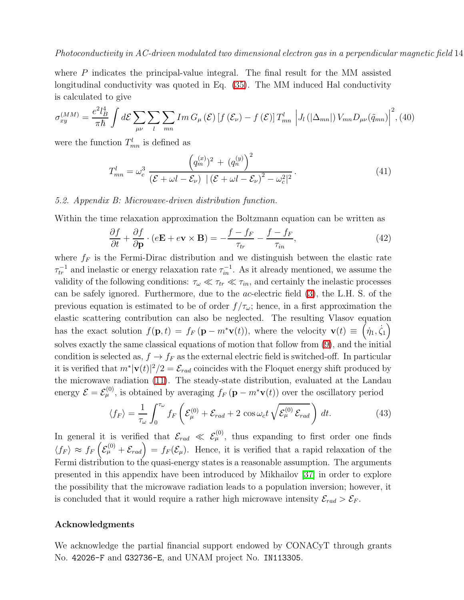where P indicates the principal-value integral. The final result for the MM assisted longitudinal conductivity was quoted in Eq. [\(35\)](#page-8-1). The MM induced Hal conductivity is calculated to give

$$
\sigma_{xy}^{(MM)} = \frac{e^2 l_B^4}{\pi \hbar} \int d\mathcal{E} \sum_{\mu\nu} \sum_{l} \sum_{mn} Im \, G_{\mu}(\mathcal{E}) \left[ f(\mathcal{E}_{\nu}) - f(\mathcal{E}) \right] T_{mn}^l \left| J_l\left( |\Delta_{mn}| \right) V_{mn} D_{\mu\nu}(\tilde{q}_{mn}) \right|^2, \text{(40)}
$$

were the function  $T_{mn}^l$  is defined as

$$
T_{mn}^l = \omega_c^3 \frac{\left(q_m^{(x)}\right)^2 + \left(q_n^{(y)}\right)^2}{\left(\mathcal{E} + \omega l - \mathcal{E}_{\nu}\right) \left|\left(\mathcal{E} + \omega l - \mathcal{E}_{\nu}\right)^2 - \omega_c^2\right|^2}.
$$
\n(41)

### <span id="page-13-0"></span>5.2. Appendix B: Microwave-driven distribution function.

Within the time relaxation approximation the Boltzmann equation can be written as

$$
\frac{\partial f}{\partial t} + \frac{\partial f}{\partial \mathbf{p}} \cdot (e\mathbf{E} + e\mathbf{v} \times \mathbf{B}) = -\frac{f - f_F}{\tau_{tr}} - \frac{f - f_F}{\tau_{in}},\tag{42}
$$

where  $f_F$  is the Fermi-Dirac distribution and we distinguish between the elastic rate  $\tau_{tr}^{-1}$  and inelastic or energy relaxation rate  $\tau_{in}^{-1}$ . As it already mentioned, we assume the validity of the following conditions:  $\tau_{\omega} \ll \tau_{tr} \ll \tau_{in}$ , and certainly the inelastic processes can be safely ignored. Furthermore, due to the ac-electric field [\(3\)](#page-3-1), the L.H. S. of the previous equation is estimated to be of order  $f/\tau_{\omega}$ ; hence, in a first approximation the elastic scattering contribution can also be neglected. The resulting Vlasov equation has the exact solution  $f(\mathbf{p}, t) = f_F(\mathbf{p} - m^* \mathbf{v}(t))$ , where the velocity  $\mathbf{v}(t) \equiv (\dot{\eta}_1, \dot{\zeta}_1)$ solves exactly the same classical equations of motion that follow from [\(9\)](#page-4-1), and the initial condition is selected as,  $f \to f_F$  as the external electric field is switched-off. In particular it is verified that  $m^*|\mathbf{v}(t)|^2/2 = \mathcal{E}_{rad}$  coincides with the Floquet energy shift produced by the microwave radiation [\(11\)](#page-4-2). The steady-state distribution, evaluated at the Landau energy  $\mathcal{E} = \mathcal{E}_{\mu}^{(0)}$ , is obtained by averaging  $f_F(\mathbf{p} - m^*\mathbf{v}(t))$  over the oscillatory period

$$
\langle f_F \rangle = \frac{1}{\tau_\omega} \int_0^{\tau_\omega} f_F \left( \mathcal{E}_{\mu}^{(0)} + \mathcal{E}_{rad} + 2 \cos \omega_c t \sqrt{\mathcal{E}_{\mu}^{(0)} \mathcal{E}_{rad}} \right) dt. \tag{43}
$$

In general it is verified that  $\mathcal{E}_{rad} \ll \mathcal{E}_{\mu}^{(0)}$ , thus expanding to first order one finds  $\langle f_F \rangle \approx f_F \left($  $\mathcal{E}^{(0)}_{\mu} + \mathcal{E}_{rad}$  =  $f_F(\mathcal{E}_{\mu})$ . Hence, it is verified that a rapid relaxation of the Fermi distribution to the quasi-energy states is a reasonable assumption. The arguments presented in this appendix have been introduced by Mikhailov [\[37\]](#page-14-35) in order to explore the possibility that the microwave radiation leads to a population inversion; however, it is concluded that it would require a rather high microwave intensity  $\mathcal{E}_{rad} > \mathcal{E}_F$ .

#### Acknowledgments

We acknowledge the partial financial support endowed by CONACyT through grants No. 42026-F and G32736-E, and UNAM project No. IN113305.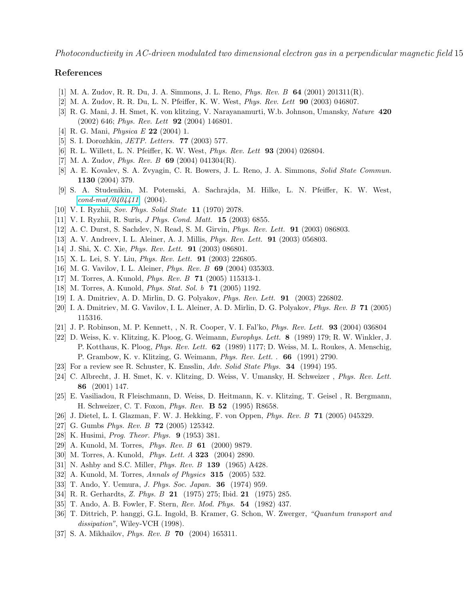# <span id="page-14-1"></span><span id="page-14-0"></span>References

- [1] M. A. Zudov, R. R. Du, J. A. Simmons, J. L. Reno, Phys. Rev. B 64 (2001) 201311(R).
- <span id="page-14-2"></span>[2] M. A. Zudov, R. R. Du, L. N. Pfeiffer, K. W. West, Phys. Rev. Lett 90 (2003) 046807.
- <span id="page-14-3"></span>[3] R. G. Mani, J. H. Smet, K. von klitzing, V. Narayanamurti, W.b. Johnson, Umansky, Nature 420 (2002) 646; Phys. Rev. Lett 92 (2004) 146801.
- <span id="page-14-4"></span>[4] R. G. Mani, Physica E 22 (2004) 1.
- <span id="page-14-5"></span>[5] S. I. Dorozhkin, JETP. Letters. 77 (2003) 577.
- <span id="page-14-6"></span>[6] R. L. Willett, L. N. Pfeiffer, K. W. West, Phys. Rev. Lett 93 (2004) 026804.
- <span id="page-14-7"></span>[7] M. A. Zudov, *Phys. Rev. B* 69 (2004) 041304(R).
- [8] A. E. Kovalev, S. A. Zvyagin, C. R. Bowers, J. L. Reno, J. A. Simmons, Solid State Commun. 1130 (2004) 379.
- <span id="page-14-8"></span>[9] S. A. Studenikin, M. Potemski, A. Sachrajda, M. Hilke, L. N. Pfeiffer, K. W. West,  $cond-mat/0404411$  (2004).
- <span id="page-14-10"></span><span id="page-14-9"></span>[10] V. I. Ryzhii, Sov. Phys. Solid State 11 (1970) 2078.
- <span id="page-14-11"></span>[11] V. I. Ryzhii, R. Suris, J Phys. Cond. Matt. 15 (2003) 6855.
- <span id="page-14-12"></span>[12] A. C. Durst, S. Sachdev, N. Read, S. M. Girvin, Phys. Rev. Lett. 91 (2003) 086803.
- <span id="page-14-13"></span>[13] A. V. Andreev, I. L. Aleiner, A. J. Millis, Phys. Rev. Lett. 91 (2003) 056803.
- <span id="page-14-14"></span>[14] J. Shi, X. C. Xie, Phys. Rev. Lett. 91 (2003) 086801.
- <span id="page-14-15"></span>[15] X. L. Lei, S. Y. Liu, *Phys. Rev. Lett.* **91** (2003) 226805.
- <span id="page-14-16"></span>[16] M. G. Vavilov, I. L. Aleiner, *Phys. Rev. B* **69** (2004) 035303.
- <span id="page-14-17"></span>[17] M. Torres, A. Kunold, Phys. Rev. B 71 (2005) 115313-1.
- <span id="page-14-18"></span>[18] M. Torres, A. Kunold, *Phys. Stat. Sol. b* 71 (2005) 1192.
- <span id="page-14-19"></span>[19] I. A. Dmitriev, A. D. Mirlin, D. G. Polyakov, Phys. Rev. Lett. 91 (2003) 226802.
- <span id="page-14-20"></span>[20] I. A. Dmitriev, M. G. Vavilov, I. L. Aleiner, A. D. Mirlin, D. G. Polyakov, Phys. Rev. B 71 (2005) 115316.
- <span id="page-14-21"></span>[21] J. P. Robinson, M. P. Kennett, , N. R. Cooper, V. I. Fal'ko, Phys. Rev. Lett. 93 (2004) 036804
- [22] D. Weiss, K. v. Klitzing, K. Ploog, G. Weimann, Europhys. Lett. 8 (1989) 179; R. W. Winkler, J. P. Kotthaus, K. Ploog, Phys. Rev. Lett. 62 (1989) 1177; D. Weiss, M. L. Roukes, A. Menschig, P. Grambow, K. v. Klitzing, G. Weimann, Phys. Rev. Lett. . 66 (1991) 2790.
- <span id="page-14-23"></span><span id="page-14-22"></span>[23] For a review see R. Schuster, K. Ensslin, Adv. Solid State Phys. 34 (1994) 195.
- <span id="page-14-24"></span>[24] C. Albrecht, J. H. Smet, K. v. Klitzing, D. Weiss, V. Umansky, H. Schweizer , Phys. Rev. Lett. 86 (2001) 147.
- <span id="page-14-25"></span>[25] E. Vasiliadou, R Fleischmann, D. Weiss, D. Heitmann, K. v. Klitzing, T. Geisel , R. Bergmann, H. Schweizer, C. T. Foxon, Phys. Rev. B 52 (1995) R8658.
- <span id="page-14-26"></span>[26] J. Dietel, L. I. Glazman, F. W. J. Hekking, F. von Oppen, Phys. Rev. B 71 (2005) 045329.
- <span id="page-14-27"></span>[27] G. Gumbs *Phys. Rev. B* **72** (2005) 125342.
- <span id="page-14-28"></span>[28] K. Husimi, *Prog. Theor. Phys.* **9** (1953) 381.
- <span id="page-14-29"></span>[29] A. Kunold, M. Torres, Phys. Rev. B 61 (2000) 9879.
- <span id="page-14-30"></span>[30] M. Torres, A. Kunold, Phys. Lett. A 323 (2004) 2890.
- <span id="page-14-31"></span>[31] N. Ashby and S.C. Miller, *Phys. Rev. B* **139** (1965) A428.
- <span id="page-14-32"></span>[32] A. Kunold, M. Torres, Annals of Physics 315 (2005) 532.
- <span id="page-14-33"></span>[33] T. Ando, Y. Uemura, J. Phys. Soc. Japan. 36 (1974) 959.
- <span id="page-14-34"></span>[34] R. R. Gerhardts, Z. Phys. B 21 (1975) 275; Ibid. 21 (1975) 285.
- [35] T. Ando, A. B. Fowler, F. Stern, Rev. Mod. Phys. 54 (1982) 437.
- [36] T. Dittrich, P. hanggi, G.L. Ingold, B. Kramer, G. Schon, W. Zwerger, "Quantum transport and dissipation", Wiley-VCH (1998).
- <span id="page-14-35"></span>[37] S. A. Mikhailov, *Phys. Rev. B* 70 (2004) 165311.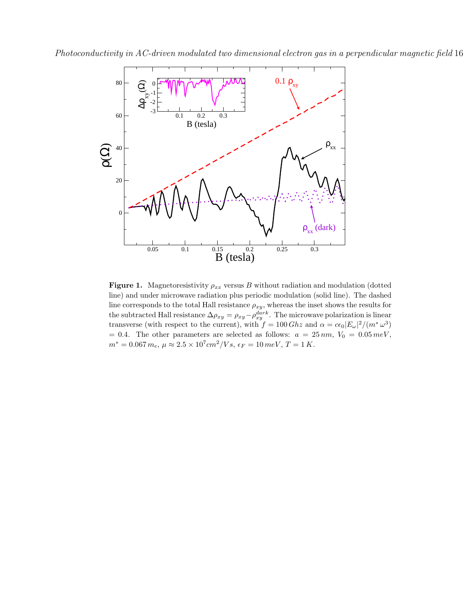



<span id="page-15-0"></span>Figure 1. Magnetoresistivity  $\rho_{xx}$  versus B without radiation and modulation (dotted line) and under microwave radiation plus periodic modulation (solid line). The dashed line corresponds to the total Hall resistance  $\rho_{xy}$ , whereas the inset shows the results for the subtracted Hall resistance  $\Delta \rho_{xy} = \rho_{xy} - \rho_{xy}^{dark}$ . The microwave polarization is linear transverse (with respect to the current), with  $f = 100 Ghz$  and  $\alpha = c\epsilon_0 |E_\omega|^2/(m^*\omega^3)$ = 0.4. The other parameters are selected as follows:  $a = 25 \, nm$ ,  $V_0 = 0.05 \, meV$ ,  $m^* = 0.067 m_e, \, \mu \approx 2.5 \times 10^7 cm^2/Vs, \, \epsilon_F = 10 \, meV, \, T = 1 \, K.$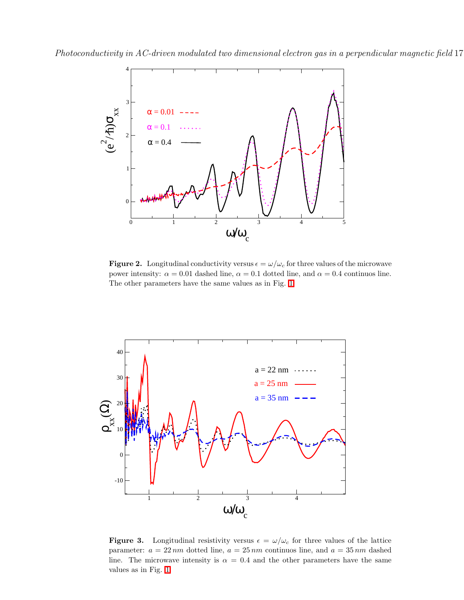

<span id="page-16-0"></span>**Figure 2.** Longitudinal conductivity versus  $\epsilon = \omega/\omega_c$  for three values of the microwave power intensity:  $\alpha = 0.01$  dashed line,  $\alpha = 0.1$  dotted line, and  $\alpha = 0.4$  continuos line. The other parameters have the same values as in Fig. [1.](#page-15-0)



<span id="page-16-1"></span>**Figure 3.** Longitudinal resistivity versus  $\epsilon = \omega/\omega_c$  for three values of the lattice parameter:  $a = 22 \, nm$  dotted line,  $a = 25 \, nm$  continuos line, and  $a = 35 \, nm$  dashed line. The microwave intensity is  $\alpha = 0.4$  and the other parameters have the same values as in Fig. [1.](#page-15-0)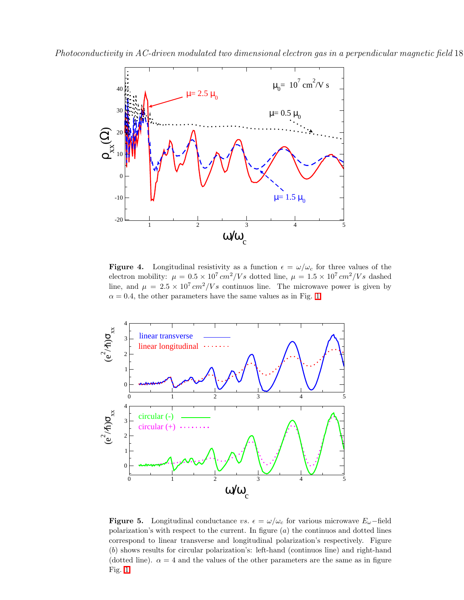

<span id="page-17-0"></span>**Figure 4.** Longitudinal resistivity as a function  $\epsilon = \omega/\omega_c$  for three values of the electron mobility:  $\mu = 0.5 \times 10^7 cm^2/Vs$  dotted line,  $\mu = 1.5 \times 10^7 cm^2/Vs$  dashed line, and  $\mu = 2.5 \times 10^7 \text{ cm}^2/Vs$  continuos line. The microwave power is given by  $\alpha = 0.4$ , the other parameters have the same values as in Fig. [1.](#page-15-0)



<span id="page-17-1"></span>**Figure 5.** Longitudinal conductance vs.  $\epsilon = \omega/\omega_c$  for various microwave  $E_{\omega}$ -field polarization's with respect to the current. In figure  $(a)$  the continuos and dotted lines correspond to linear transverse and longitudinal polarization's respectively. Figure (b) shows results for circular polarization's: left-hand (continuos line) and right-hand (dotted line).  $\alpha = 4$  and the values of the other parameters are the same as in figure Fig. [1](#page-15-0)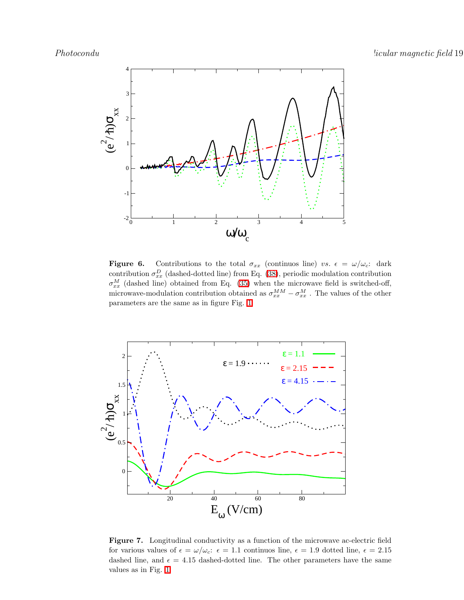

<span id="page-18-0"></span>**Figure 6.** Contributions to the total  $\sigma_{xx}$  (continuos line) vs.  $\epsilon = \omega/\omega_c$ : dark contribution  $\sigma_{xx}^D$  (dashed-dotted line) from Eq. [\(38\)](#page-12-0), periodic modulation contribution  $\sigma_{xx}^M$  (dashed line) obtained from Eq. [\(35\)](#page-8-1) when the microwave field is switched-off, microwave-modulation contribution obtained as  $\sigma_{xx}^{MM} - \sigma_{xx}^{M}$ . The values of the other parameters are the same as in figure Fig. [1](#page-15-0)



<span id="page-18-1"></span>Figure 7. Longitudinal conductivity as a function of the microwave ac-electric field for various values of  $\epsilon = \omega/\omega_c$ :  $\epsilon = 1.1$  continuos line,  $\epsilon = 1.9$  dotted line,  $\epsilon = 2.15$ dashed line, and  $\epsilon = 4.15$  dashed-dotted line. The other parameters have the same values as in Fig. [1](#page-15-0)